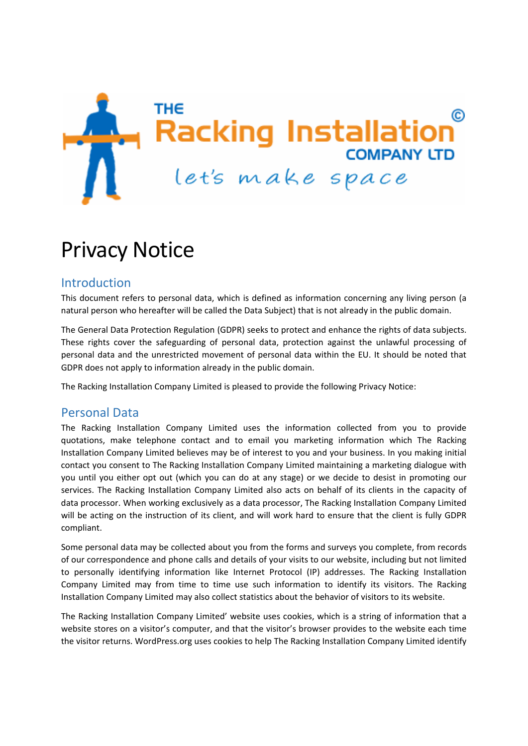

# Privacy Notice

#### Introduction

This document refers to personal data, which is defined as information concerning any living person (a natural person who hereafter will be called the Data Subject) that is not already in the public domain.

The General Data Protection Regulation (GDPR) seeks to protect and enhance the rights of data subjects. These rights cover the safeguarding of personal data, protection against the unlawful processing of personal data and the unrestricted movement of personal data within the EU. It should be noted that GDPR does not apply to information already in the public domain.

The Racking Installation Company Limited is pleased to provide the following Privacy Notice:

#### Personal Data

The Racking Installation Company Limited uses the information collected from you to provide quotations, make telephone contact and to email you marketing information which The Racking Installation Company Limited believes may be of interest to you and your business. In you making initial contact you consent to The Racking Installation Company Limited maintaining a marketing dialogue with you until you either opt out (which you can do at any stage) or we decide to desist in promoting our services. The Racking Installation Company Limited also acts on behalf of its clients in the capacity of data processor. When working exclusively as a data processor, The Racking Installation Company Limited will be acting on the instruction of its client, and will work hard to ensure that the client is fully GDPR compliant.

Some personal data may be collected about you from the forms and surveys you complete, from records of our correspondence and phone calls and details of your visits to our website, including but not limited to personally identifying information like Internet Protocol (IP) addresses. The Racking Installation Company Limited may from time to time use such information to identify its visitors. The Racking Installation Company Limited may also collect statistics about the behavior of visitors to its website.

The Racking Installation Company Limited' website uses cookies, which is a string of information that a website stores on a visitor's computer, and that the visitor's browser provides to the website each time the visitor returns. WordPress.org uses cookies to help The Racking Installation Company Limited identify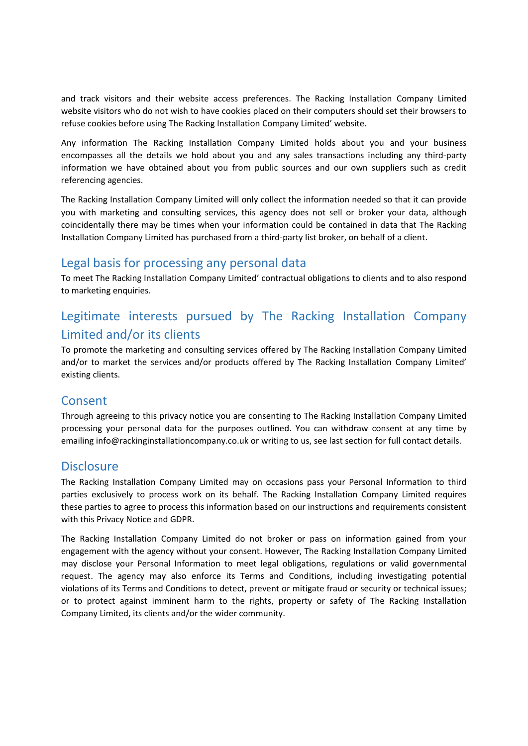and track visitors and their website access preferences. The Racking Installation Company Limited website visitors who do not wish to have cookies placed on their computers should set their browsers to refuse cookies before using The Racking Installation Company Limited' website.

Any information The Racking Installation Company Limited holds about you and your business encompasses all the details we hold about you and any sales transactions including any third‐party information we have obtained about you from public sources and our own suppliers such as credit referencing agencies.

The Racking Installation Company Limited will only collect the information needed so that it can provide you with marketing and consulting services, this agency does not sell or broker your data, although coincidentally there may be times when your information could be contained in data that The Racking Installation Company Limited has purchased from a third‐party list broker, on behalf of a client.

#### Legal basis for processing any personal data

To meet The Racking Installation Company Limited' contractual obligations to clients and to also respond to marketing enquiries.

# Legitimate interests pursued by The Racking Installation Company Limited and/or its clients

To promote the marketing and consulting services offered by The Racking Installation Company Limited and/or to market the services and/or products offered by The Racking Installation Company Limited' existing clients.

#### **Consent**

Through agreeing to this privacy notice you are consenting to The Racking Installation Company Limited processing your personal data for the purposes outlined. You can withdraw consent at any time by emailing info@rackinginstallationcompany.co.uk or writing to us, see last section for full contact details.

#### **Disclosure**

The Racking Installation Company Limited may on occasions pass your Personal Information to third parties exclusively to process work on its behalf. The Racking Installation Company Limited requires these parties to agree to process this information based on our instructions and requirements consistent with this Privacy Notice and GDPR.

The Racking Installation Company Limited do not broker or pass on information gained from your engagement with the agency without your consent. However, The Racking Installation Company Limited may disclose your Personal Information to meet legal obligations, regulations or valid governmental request. The agency may also enforce its Terms and Conditions, including investigating potential violations of its Terms and Conditions to detect, prevent or mitigate fraud or security or technical issues; or to protect against imminent harm to the rights, property or safety of The Racking Installation Company Limited, its clients and/or the wider community.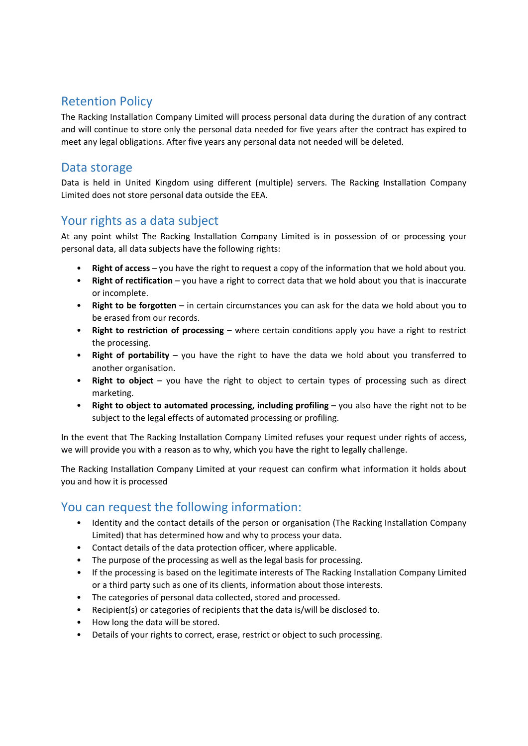# Retention Policy

The Racking Installation Company Limited will process personal data during the duration of any contract and will continue to store only the personal data needed for five years after the contract has expired to meet any legal obligations. After five years any personal data not needed will be deleted.

### Data storage

Data is held in United Kingdom using different (multiple) servers. The Racking Installation Company Limited does not store personal data outside the EEA.

## Your rights as a data subject

At any point whilst The Racking Installation Company Limited is in possession of or processing your personal data, all data subjects have the following rights:

- **Right of access** you have the right to request a copy of the information that we hold about you.
- **Right of rectification** you have a right to correct data that we hold about you that is inaccurate or incomplete.
- **Right to be forgotten** in certain circumstances you can ask for the data we hold about you to be erased from our records.
- **Right to restriction of processing** where certain conditions apply you have a right to restrict the processing.
- **Right of portability** you have the right to have the data we hold about you transferred to another organisation.
- **Right to object** you have the right to object to certain types of processing such as direct marketing.
- **Right to object to automated processing, including profiling** you also have the right not to be subject to the legal effects of automated processing or profiling.

In the event that The Racking Installation Company Limited refuses your request under rights of access, we will provide you with a reason as to why, which you have the right to legally challenge.

The Racking Installation Company Limited at your request can confirm what information it holds about you and how it is processed

# You can request the following information:

- Identity and the contact details of the person or organisation (The Racking Installation Company Limited) that has determined how and why to process your data.
- Contact details of the data protection officer, where applicable.
- The purpose of the processing as well as the legal basis for processing.
- If the processing is based on the legitimate interests of The Racking Installation Company Limited or a third party such as one of its clients, information about those interests.
- The categories of personal data collected, stored and processed.
- Recipient(s) or categories of recipients that the data is/will be disclosed to.
- How long the data will be stored.
- Details of your rights to correct, erase, restrict or object to such processing.